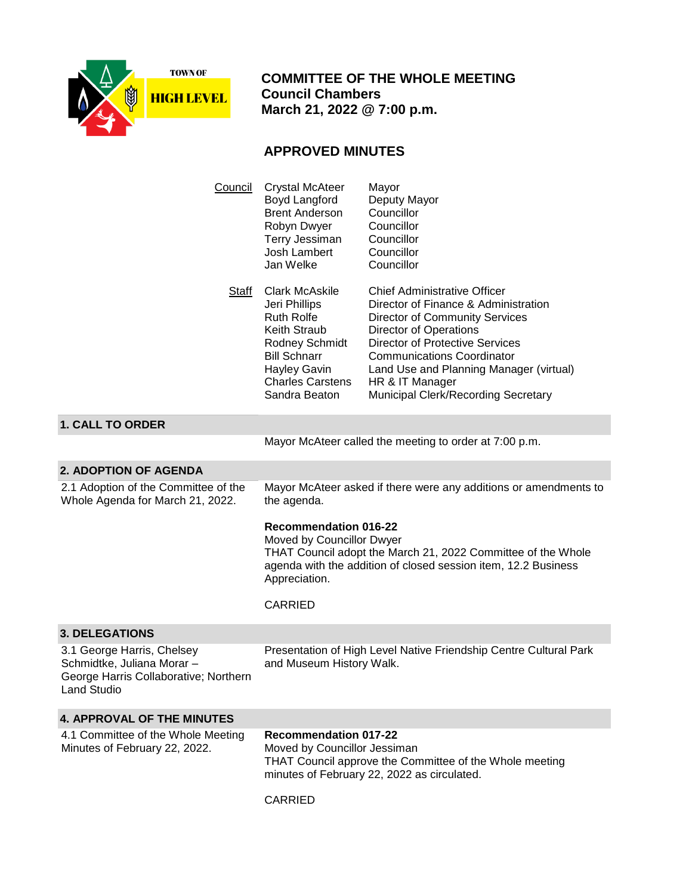

 **COMMITTEE OF THE WHOLE MEETING Council Chambers March 21, 2022 @ 7:00 p.m.**

## **APPROVED MINUTES**

| Council                                                                                                          | <b>Crystal McAteer</b><br>Boyd Langford<br><b>Brent Anderson</b><br>Robyn Dwyer<br>Terry Jessiman<br>Josh Lambert<br>Jan Welke                                                                               | Mayor<br>Deputy Mayor<br>Councillor<br>Councillor<br>Councillor<br>Councillor<br>Councillor                                                                                                                                                                                                                                        |
|------------------------------------------------------------------------------------------------------------------|--------------------------------------------------------------------------------------------------------------------------------------------------------------------------------------------------------------|------------------------------------------------------------------------------------------------------------------------------------------------------------------------------------------------------------------------------------------------------------------------------------------------------------------------------------|
| Staff                                                                                                            | <b>Clark McAskile</b><br>Jeri Phillips<br><b>Ruth Rolfe</b><br><b>Keith Straub</b><br>Rodney Schmidt<br><b>Bill Schnarr</b><br>Hayley Gavin<br><b>Charles Carstens</b><br>Sandra Beaton                      | <b>Chief Administrative Officer</b><br>Director of Finance & Administration<br><b>Director of Community Services</b><br>Director of Operations<br><b>Director of Protective Services</b><br><b>Communications Coordinator</b><br>Land Use and Planning Manager (virtual)<br>HR & IT Manager<br>Municipal Clerk/Recording Secretary |
| <b>1. CALL TO ORDER</b>                                                                                          |                                                                                                                                                                                                              |                                                                                                                                                                                                                                                                                                                                    |
|                                                                                                                  |                                                                                                                                                                                                              | Mayor McAteer called the meeting to order at 7:00 p.m.                                                                                                                                                                                                                                                                             |
| <b>2. ADOPTION OF AGENDA</b>                                                                                     |                                                                                                                                                                                                              |                                                                                                                                                                                                                                                                                                                                    |
| 2.1 Adoption of the Committee of the<br>Whole Agenda for March 21, 2022.                                         | the agenda.                                                                                                                                                                                                  | Mayor McAteer asked if there were any additions or amendments to                                                                                                                                                                                                                                                                   |
|                                                                                                                  | <b>Recommendation 016-22</b><br>Moved by Councillor Dwyer<br>THAT Council adopt the March 21, 2022 Committee of the Whole<br>agenda with the addition of closed session item, 12.2 Business<br>Appreciation. |                                                                                                                                                                                                                                                                                                                                    |
|                                                                                                                  | <b>CARRIED</b>                                                                                                                                                                                               |                                                                                                                                                                                                                                                                                                                                    |
| <b>3. DELEGATIONS</b>                                                                                            |                                                                                                                                                                                                              |                                                                                                                                                                                                                                                                                                                                    |
| 3.1 George Harris, Chelsey<br>Schmidtke, Juliana Morar -<br>George Harris Collaborative; Northern<br>Land Studio | Presentation of High Level Native Friendship Centre Cultural Park<br>and Museum History Walk.                                                                                                                |                                                                                                                                                                                                                                                                                                                                    |
| <b>4. APPROVAL OF THE MINUTES</b>                                                                                |                                                                                                                                                                                                              |                                                                                                                                                                                                                                                                                                                                    |
| 4.1 Committee of the Whole Meeting<br>Minutes of February 22, 2022.                                              | <b>Recommendation 017-22</b><br>Moved by Councillor Jessiman<br>THAT Council approve the Committee of the Whole meeting<br>minutes of February 22, 2022 as circulated.                                       |                                                                                                                                                                                                                                                                                                                                    |
|                                                                                                                  | <b>CARRIED</b>                                                                                                                                                                                               |                                                                                                                                                                                                                                                                                                                                    |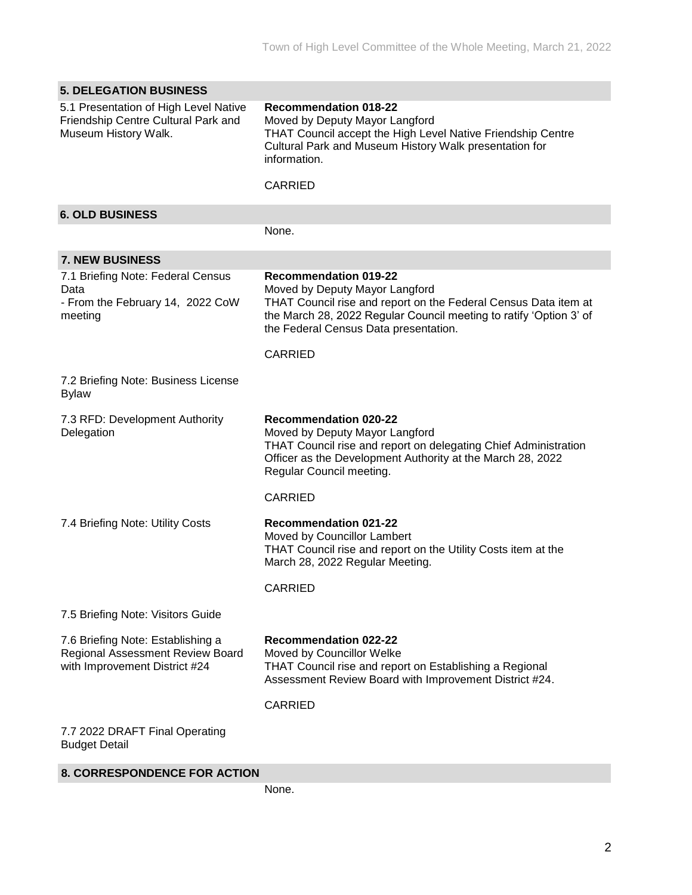| <b>5. DELEGATION BUSINESS</b>                                                                          |                                                                                                                                                                                                                                                  |
|--------------------------------------------------------------------------------------------------------|--------------------------------------------------------------------------------------------------------------------------------------------------------------------------------------------------------------------------------------------------|
| 5.1 Presentation of High Level Native<br>Friendship Centre Cultural Park and<br>Museum History Walk.   | <b>Recommendation 018-22</b><br>Moved by Deputy Mayor Langford<br>THAT Council accept the High Level Native Friendship Centre<br>Cultural Park and Museum History Walk presentation for<br>information.<br><b>CARRIED</b>                        |
|                                                                                                        |                                                                                                                                                                                                                                                  |
| <b>6. OLD BUSINESS</b>                                                                                 |                                                                                                                                                                                                                                                  |
|                                                                                                        | None.                                                                                                                                                                                                                                            |
| <b>7. NEW BUSINESS</b>                                                                                 |                                                                                                                                                                                                                                                  |
| 7.1 Briefing Note: Federal Census<br>Data<br>- From the February 14, 2022 CoW<br>meeting               | <b>Recommendation 019-22</b><br>Moved by Deputy Mayor Langford<br>THAT Council rise and report on the Federal Census Data item at<br>the March 28, 2022 Regular Council meeting to ratify 'Option 3' of<br>the Federal Census Data presentation. |
|                                                                                                        | <b>CARRIED</b>                                                                                                                                                                                                                                   |
| 7.2 Briefing Note: Business License<br><b>Bylaw</b>                                                    |                                                                                                                                                                                                                                                  |
| 7.3 RFD: Development Authority<br>Delegation                                                           | <b>Recommendation 020-22</b><br>Moved by Deputy Mayor Langford<br>THAT Council rise and report on delegating Chief Administration<br>Officer as the Development Authority at the March 28, 2022<br>Regular Council meeting.                      |
|                                                                                                        | <b>CARRIED</b>                                                                                                                                                                                                                                   |
| 7.4 Briefing Note: Utility Costs                                                                       | <b>Recommendation 021-22</b><br>Moved by Councillor Lambert<br>THAT Council rise and report on the Utility Costs item at the<br>March 28, 2022 Regular Meeting.                                                                                  |
|                                                                                                        | <b>CARRIED</b>                                                                                                                                                                                                                                   |
| 7.5 Briefing Note: Visitors Guide                                                                      |                                                                                                                                                                                                                                                  |
| 7.6 Briefing Note: Establishing a<br>Regional Assessment Review Board<br>with Improvement District #24 | <b>Recommendation 022-22</b><br>Moved by Councillor Welke<br>THAT Council rise and report on Establishing a Regional<br>Assessment Review Board with Improvement District #24.                                                                   |
|                                                                                                        | <b>CARRIED</b>                                                                                                                                                                                                                                   |
| 7.7 2022 DRAFT Final Operating<br><b>Budget Detail</b>                                                 |                                                                                                                                                                                                                                                  |

## **8. CORRESPONDENCE FOR ACTION**

None.